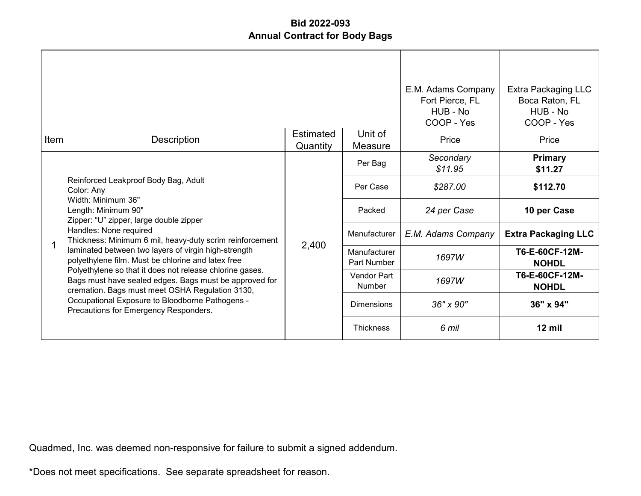|      |                                                                                                                                                                                                                                                                   |                       |                             | E.M. Adams Company<br>Fort Pierce, FL<br>HUB - No<br>COOP - Yes | <b>Extra Packaging LLC</b><br>Boca Raton, FL<br>HUB - No<br>COOP - Yes |
|------|-------------------------------------------------------------------------------------------------------------------------------------------------------------------------------------------------------------------------------------------------------------------|-----------------------|-----------------------------|-----------------------------------------------------------------|------------------------------------------------------------------------|
| Item | Description                                                                                                                                                                                                                                                       | Estimated<br>Quantity | Unit of<br>Measure          | Price                                                           | Price                                                                  |
|      | Reinforced Leakproof Body Bag, Adult<br>Color: Any<br>Width: Minimum 36"<br>Length: Minimum 90"<br>Zipper: "U" zipper, large double zipper<br>Handles: None required<br>Thickness: Minimum 6 mil, heavy-duty scrim reinforcement                                  | 2,400                 | Per Bag                     | Secondary<br>\$11.95                                            | <b>Primary</b><br>\$11.27                                              |
|      |                                                                                                                                                                                                                                                                   |                       | Per Case                    | \$287.00                                                        | \$112.70                                                               |
|      |                                                                                                                                                                                                                                                                   |                       | Packed                      | 24 per Case                                                     | 10 per Case                                                            |
|      |                                                                                                                                                                                                                                                                   |                       | Manufacturer                | E.M. Adams Company                                              | <b>Extra Packaging LLC</b>                                             |
|      | laminated between two layers of virgin high-strength<br>polyethylene film. Must be chlorine and latex free                                                                                                                                                        |                       | Manufacturer<br>Part Number | 1697W                                                           | T6-E-60CF-12M-<br><b>NOHDL</b>                                         |
|      | Polyethylene so that it does not release chlorine gases.<br>Bags must have sealed edges. Bags must be approved for<br>cremation. Bags must meet OSHA Regulation 3130,<br>Occupational Exposure to Bloodborne Pathogens -<br>Precautions for Emergency Responders. |                       | Vendor Part<br>Number       | 1697W                                                           | T6-E-60CF-12M-<br><b>NOHDL</b>                                         |
|      |                                                                                                                                                                                                                                                                   |                       | <b>Dimensions</b>           | $36'' \times 90''$                                              | 36" x 94"                                                              |
|      |                                                                                                                                                                                                                                                                   |                       | <b>Thickness</b>            | 6 mil                                                           | $12$ mil                                                               |

Quadmed, Inc. was deemed non-responsive for failure to submit a signed addendum.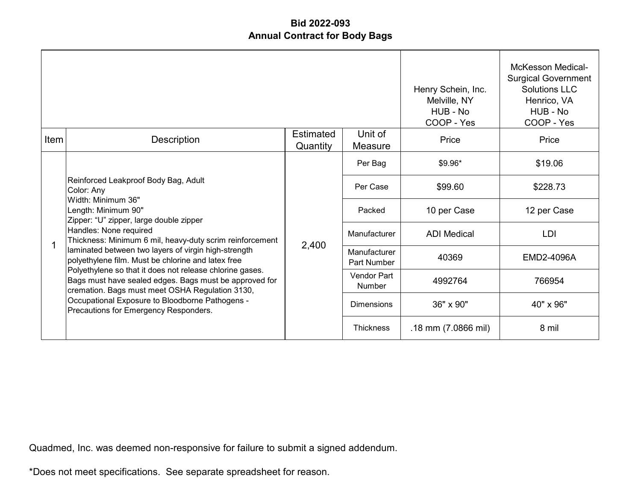|      |                                                                                                                                                                                                                                                                   |                              |                             | Henry Schein, Inc.<br>Melville, NY<br>HUB - No<br>COOP - Yes | <b>McKesson Medical-</b><br><b>Surgical Government</b><br>Solutions LLC<br>Henrico, VA<br>HUB - No<br>COOP - Yes |
|------|-------------------------------------------------------------------------------------------------------------------------------------------------------------------------------------------------------------------------------------------------------------------|------------------------------|-----------------------------|--------------------------------------------------------------|------------------------------------------------------------------------------------------------------------------|
| Item | Description                                                                                                                                                                                                                                                       | <b>Estimated</b><br>Quantity | Unit of<br>Measure          | Price                                                        | Price                                                                                                            |
|      | Reinforced Leakproof Body Bag, Adult<br>Color: Any<br>Width: Minimum 36"<br>Length: Minimum 90"<br>Zipper: "U" zipper, large double zipper<br>Handles: None required<br>Thickness: Minimum 6 mil, heavy-duty scrim reinforcement                                  |                              | Per Bag                     | $$9.96*$                                                     | \$19.06                                                                                                          |
|      |                                                                                                                                                                                                                                                                   |                              | Per Case                    | \$99.60                                                      | \$228.73                                                                                                         |
|      |                                                                                                                                                                                                                                                                   |                              | Packed                      | 10 per Case                                                  | 12 per Case                                                                                                      |
|      |                                                                                                                                                                                                                                                                   |                              | Manufacturer                | <b>ADI</b> Medical                                           | LDI                                                                                                              |
|      | laminated between two layers of virgin high-strength<br>polyethylene film. Must be chlorine and latex free                                                                                                                                                        | 2,400                        | Manufacturer<br>Part Number | 40369                                                        | EMD2-4096A                                                                                                       |
|      | Polyethylene so that it does not release chlorine gases.<br>Bags must have sealed edges. Bags must be approved for<br>cremation. Bags must meet OSHA Regulation 3130,<br>Occupational Exposure to Bloodborne Pathogens -<br>Precautions for Emergency Responders. |                              | Vendor Part<br>Number       | 4992764                                                      | 766954                                                                                                           |
|      |                                                                                                                                                                                                                                                                   |                              | <b>Dimensions</b>           | 36" x 90"                                                    | 40" x 96"                                                                                                        |
|      |                                                                                                                                                                                                                                                                   |                              | <b>Thickness</b>            | .18 mm (7.0866 mil)                                          | 8 mil                                                                                                            |

Quadmed, Inc. was deemed non-responsive for failure to submit a signed addendum.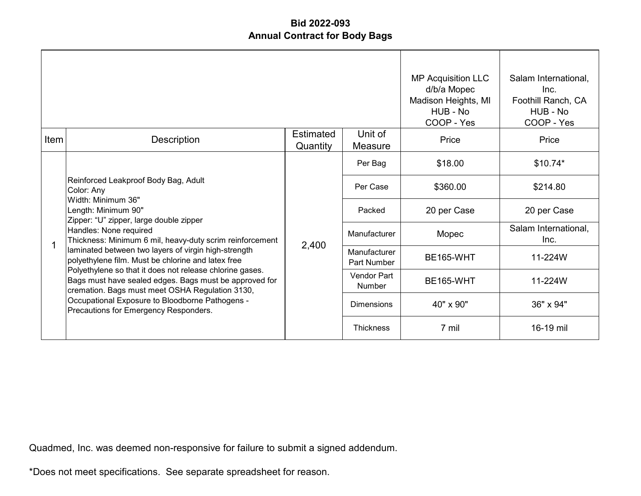|      |                                                                                                                                                                                                                                                                   |                       |                                    | <b>MP Acquisition LLC</b><br>d/b/a Mopec<br>Madison Heights, MI<br>HUB - No<br>COOP - Yes | Salam International,<br>Inc.<br>Foothill Ranch, CA<br>HUB - No<br>COOP - Yes |
|------|-------------------------------------------------------------------------------------------------------------------------------------------------------------------------------------------------------------------------------------------------------------------|-----------------------|------------------------------------|-------------------------------------------------------------------------------------------|------------------------------------------------------------------------------|
| Item | Description                                                                                                                                                                                                                                                       | Estimated<br>Quantity | Unit of<br>Measure                 | Price                                                                                     | Price                                                                        |
|      | Reinforced Leakproof Body Bag, Adult<br>Color: Any<br>Width: Minimum 36"<br>Length: Minimum 90"<br>Zipper: "U" zipper, large double zipper<br>Handles: None required<br>Thickness: Minimum 6 mil, heavy-duty scrim reinforcement                                  |                       | Per Bag                            | \$18.00                                                                                   | $$10.74*$                                                                    |
|      |                                                                                                                                                                                                                                                                   |                       | Per Case                           | \$360.00                                                                                  | \$214.80                                                                     |
|      |                                                                                                                                                                                                                                                                   |                       | Packed                             | 20 per Case                                                                               | 20 per Case                                                                  |
|      |                                                                                                                                                                                                                                                                   |                       | Manufacturer                       | Mopec                                                                                     | Salam International,<br>Inc.                                                 |
|      | laminated between two layers of virgin high-strength<br>polyethylene film. Must be chlorine and latex free                                                                                                                                                        | 2,400                 | Manufacturer<br><b>Part Number</b> | <b>BE165-WHT</b>                                                                          | 11-224W                                                                      |
|      | Polyethylene so that it does not release chlorine gases.<br>Bags must have sealed edges. Bags must be approved for<br>cremation. Bags must meet OSHA Regulation 3130,<br>Occupational Exposure to Bloodborne Pathogens -<br>Precautions for Emergency Responders. |                       | Vendor Part<br>Number              | <b>BE165-WHT</b>                                                                          | 11-224W                                                                      |
|      |                                                                                                                                                                                                                                                                   |                       | <b>Dimensions</b>                  | 40" x 90"                                                                                 | 36" x 94"                                                                    |
|      |                                                                                                                                                                                                                                                                   |                       | <b>Thickness</b>                   | 7 mil                                                                                     | 16-19 mil                                                                    |

Quadmed, Inc. was deemed non-responsive for failure to submit a signed addendum.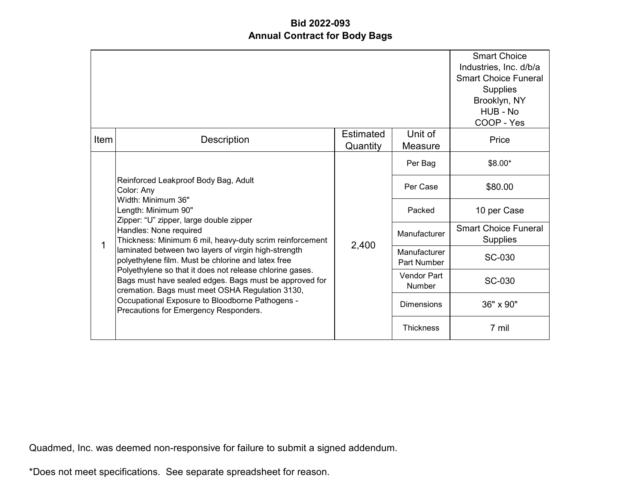|      |                                                                                                                                                                                                                                                                   |                              |                              | <b>Smart Choice</b><br>Industries, Inc. d/b/a<br><b>Smart Choice Funeral</b><br><b>Supplies</b><br>Brooklyn, NY<br>HUB - No<br>COOP - Yes |
|------|-------------------------------------------------------------------------------------------------------------------------------------------------------------------------------------------------------------------------------------------------------------------|------------------------------|------------------------------|-------------------------------------------------------------------------------------------------------------------------------------------|
| Item | <b>Description</b>                                                                                                                                                                                                                                                | <b>Estimated</b><br>Quantity | Unit of<br>Measure           | Price                                                                                                                                     |
|      | Reinforced Leakproof Body Bag, Adult<br>Color: Any<br>Width: Minimum 36"<br>Length: Minimum 90"<br>Zipper: "U" zipper, large double zipper<br>Handles: None required<br>Thickness: Minimum 6 mil, heavy-duty scrim reinforcement                                  |                              | Per Bag                      | \$8.00*                                                                                                                                   |
|      |                                                                                                                                                                                                                                                                   | 2,400                        | Per Case                     | \$80.00                                                                                                                                   |
|      |                                                                                                                                                                                                                                                                   |                              | Packed                       | 10 per Case                                                                                                                               |
| 1    |                                                                                                                                                                                                                                                                   |                              | Manufacturer                 | <b>Smart Choice Funeral</b><br><b>Supplies</b>                                                                                            |
|      | laminated between two layers of virgin high-strength<br>polyethylene film. Must be chlorine and latex free                                                                                                                                                        |                              | Manufacturer<br>Part Number  | SC-030                                                                                                                                    |
|      | Polyethylene so that it does not release chlorine gases.<br>Bags must have sealed edges. Bags must be approved for<br>cremation. Bags must meet OSHA Regulation 3130,<br>Occupational Exposure to Bloodborne Pathogens -<br>Precautions for Emergency Responders. |                              | <b>Vendor Part</b><br>Number | SC-030                                                                                                                                    |
|      |                                                                                                                                                                                                                                                                   |                              | <b>Dimensions</b>            | 36" x 90"                                                                                                                                 |
|      |                                                                                                                                                                                                                                                                   |                              | <b>Thickness</b>             | 7 mil                                                                                                                                     |

Quadmed, Inc. was deemed non-responsive for failure to submit a signed addendum.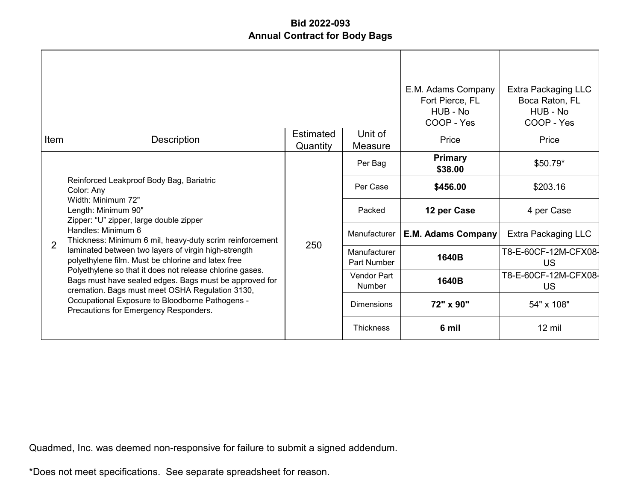|      |                                                                                                                                                                                                                                                                   |                              |                             | E.M. Adams Company<br>Fort Pierce, FL<br>HUB - No<br>COOP - Yes | Extra Packaging LLC<br>Boca Raton, FL<br>HUB - No<br>COOP - Yes |
|------|-------------------------------------------------------------------------------------------------------------------------------------------------------------------------------------------------------------------------------------------------------------------|------------------------------|-----------------------------|-----------------------------------------------------------------|-----------------------------------------------------------------|
| Item | Description                                                                                                                                                                                                                                                       | <b>Estimated</b><br>Quantity | Unit of<br>Measure          | Price                                                           | Price                                                           |
|      | Reinforced Leakproof Body Bag, Bariatric<br>Color: Any<br>Width: Minimum 72"<br>Length: Minimum 90"<br>Zipper: "U" zipper, large double zipper                                                                                                                    | 250                          | Per Bag                     | <b>Primary</b><br>\$38.00                                       | $$50.79*$                                                       |
|      |                                                                                                                                                                                                                                                                   |                              | Per Case                    | \$456.00                                                        | \$203.16                                                        |
|      |                                                                                                                                                                                                                                                                   |                              | Packed                      | 12 per Case                                                     | 4 per Case                                                      |
| 2    | Handles: Minimum 6<br>Thickness: Minimum 6 mil, heavy-duty scrim reinforcement                                                                                                                                                                                    |                              | Manufacturer                | <b>E.M. Adams Company</b>                                       | Extra Packaging LLC                                             |
|      | laminated between two layers of virgin high-strength<br>polyethylene film. Must be chlorine and latex free                                                                                                                                                        |                              | Manufacturer<br>Part Number | 1640B                                                           | T8-E-60CF-12M-CFX08-<br>US                                      |
|      | Polyethylene so that it does not release chlorine gases.<br>Bags must have sealed edges. Bags must be approved for<br>cremation. Bags must meet OSHA Regulation 3130,<br>Occupational Exposure to Bloodborne Pathogens -<br>Precautions for Emergency Responders. |                              | Vendor Part<br>Number       | 1640B                                                           | T8-E-60CF-12M-CFX08-<br><b>US</b>                               |
|      |                                                                                                                                                                                                                                                                   |                              | <b>Dimensions</b>           | 72" x 90"                                                       | 54" x 108"                                                      |
|      |                                                                                                                                                                                                                                                                   |                              | <b>Thickness</b>            | 6 mil                                                           | $12 \text{ mil}$                                                |

Quadmed, Inc. was deemed non-responsive for failure to submit a signed addendum.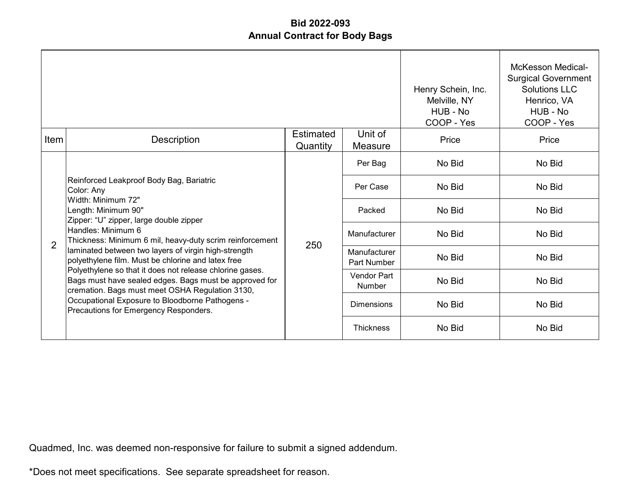|                |                                                                                                                                                                                                                                                                   |                              |                             | Henry Schein, Inc.<br>Melville, NY<br>HUB - No<br>COOP - Yes | <b>McKesson Medical-</b><br><b>Surgical Government</b><br>Solutions LLC<br>Henrico, VA<br>HUB - No<br>COOP - Yes |
|----------------|-------------------------------------------------------------------------------------------------------------------------------------------------------------------------------------------------------------------------------------------------------------------|------------------------------|-----------------------------|--------------------------------------------------------------|------------------------------------------------------------------------------------------------------------------|
| Item           | Description                                                                                                                                                                                                                                                       | <b>Estimated</b><br>Quantity | Unit of<br>Measure          | Price                                                        | Price                                                                                                            |
|                | Reinforced Leakproof Body Bag, Bariatric<br>Color: Any<br>Width: Minimum 72"<br>Length: Minimum 90"<br>Zipper: "U" zipper, large double zipper<br>Handles: Minimum 6<br>Thickness: Minimum 6 mil, heavy-duty scrim reinforcement                                  | 250                          | Per Bag                     | No Bid                                                       | No Bid                                                                                                           |
|                |                                                                                                                                                                                                                                                                   |                              | Per Case                    | No Bid                                                       | No Bid                                                                                                           |
|                |                                                                                                                                                                                                                                                                   |                              | Packed                      | No Bid                                                       | No Bid                                                                                                           |
| $\overline{2}$ |                                                                                                                                                                                                                                                                   |                              | Manufacturer                | No Bid                                                       | No Bid                                                                                                           |
|                | laminated between two layers of virgin high-strength<br>polyethylene film. Must be chlorine and latex free                                                                                                                                                        |                              | Manufacturer<br>Part Number | No Bid                                                       | No Bid                                                                                                           |
|                | Polyethylene so that it does not release chlorine gases.<br>Bags must have sealed edges. Bags must be approved for<br>cremation. Bags must meet OSHA Regulation 3130,<br>Occupational Exposure to Bloodborne Pathogens -<br>Precautions for Emergency Responders. |                              | Vendor Part<br>Number       | No Bid                                                       | No Bid                                                                                                           |
|                |                                                                                                                                                                                                                                                                   |                              | <b>Dimensions</b>           | No Bid                                                       | No Bid                                                                                                           |
|                |                                                                                                                                                                                                                                                                   |                              | <b>Thickness</b>            | No Bid                                                       | No Bid                                                                                                           |

Quadmed, Inc. was deemed non-responsive for failure to submit a signed addendum.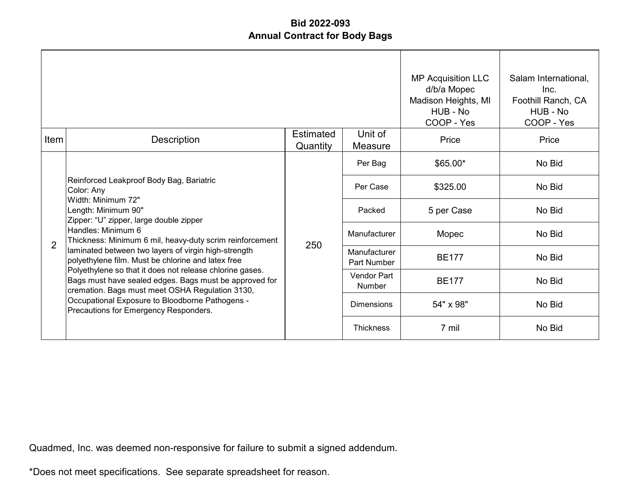|                |                                                                                                                                                                                                                                                                   |                       |                                    | <b>MP Acquisition LLC</b><br>d/b/a Mopec<br>Madison Heights, MI<br>HUB - No<br>COOP - Yes | Salam International,<br>Inc.<br>Foothill Ranch, CA<br>HUB - No<br>COOP - Yes |
|----------------|-------------------------------------------------------------------------------------------------------------------------------------------------------------------------------------------------------------------------------------------------------------------|-----------------------|------------------------------------|-------------------------------------------------------------------------------------------|------------------------------------------------------------------------------|
| Item           | Description                                                                                                                                                                                                                                                       | Estimated<br>Quantity | Unit of<br>Measure                 | Price                                                                                     | Price                                                                        |
|                | Reinforced Leakproof Body Bag, Bariatric<br>Color: Any<br>Width: Minimum 72"<br>Length: Minimum 90"<br>Zipper: "U" zipper, large double zipper                                                                                                                    | 250                   | Per Bag                            | $$65.00*$                                                                                 | No Bid                                                                       |
|                |                                                                                                                                                                                                                                                                   |                       | Per Case                           | \$325.00                                                                                  | No Bid                                                                       |
|                |                                                                                                                                                                                                                                                                   |                       | Packed                             | 5 per Case                                                                                | No Bid                                                                       |
| $\overline{2}$ | Handles: Minimum 6<br>Thickness: Minimum 6 mil, heavy-duty scrim reinforcement                                                                                                                                                                                    |                       | Manufacturer                       | Mopec                                                                                     | No Bid                                                                       |
|                | laminated between two layers of virgin high-strength<br>polyethylene film. Must be chlorine and latex free                                                                                                                                                        |                       | Manufacturer<br><b>Part Number</b> | <b>BE177</b>                                                                              | No Bid                                                                       |
|                | Polyethylene so that it does not release chlorine gases.<br>Bags must have sealed edges. Bags must be approved for<br>cremation. Bags must meet OSHA Regulation 3130,<br>Occupational Exposure to Bloodborne Pathogens -<br>Precautions for Emergency Responders. |                       | Vendor Part<br><b>Number</b>       | <b>BE177</b>                                                                              | No Bid                                                                       |
|                |                                                                                                                                                                                                                                                                   |                       | <b>Dimensions</b>                  | 54" x 98"                                                                                 | No Bid                                                                       |
|                |                                                                                                                                                                                                                                                                   |                       | <b>Thickness</b>                   | 7 mil                                                                                     | No Bid                                                                       |

Quadmed, Inc. was deemed non-responsive for failure to submit a signed addendum.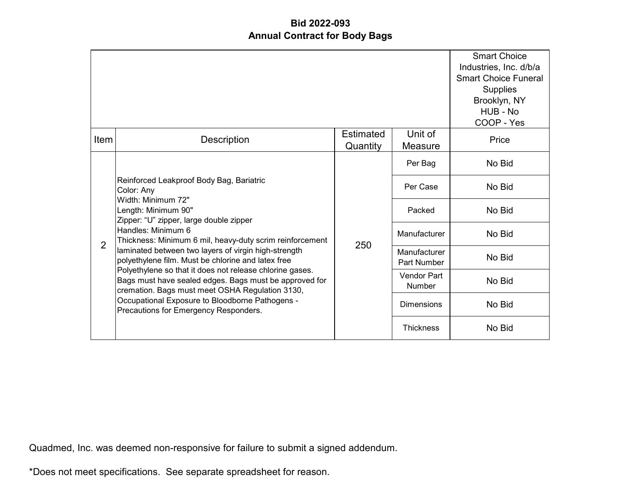|                |                                                                                                                                                                                                                                                                   |                              |                                     | <b>Smart Choice</b><br>Industries, Inc. d/b/a<br><b>Smart Choice Funeral</b><br><b>Supplies</b><br>Brooklyn, NY<br>HUB - No<br>COOP - Yes |
|----------------|-------------------------------------------------------------------------------------------------------------------------------------------------------------------------------------------------------------------------------------------------------------------|------------------------------|-------------------------------------|-------------------------------------------------------------------------------------------------------------------------------------------|
| Item           | Description                                                                                                                                                                                                                                                       | <b>Estimated</b><br>Quantity | Unit of<br>Measure                  | Price                                                                                                                                     |
|                |                                                                                                                                                                                                                                                                   |                              | Per Bag                             | No Bid                                                                                                                                    |
|                | Reinforced Leakproof Body Bag, Bariatric<br>Color: Any<br>Width: Minimum 72"<br>Length: Minimum 90"<br>Zipper: "U" zipper, large double zipper<br>Handles: Minimum 6<br>Thickness: Minimum 6 mil, heavy-duty scrim reinforcement                                  | 250                          | Per Case                            | No Bid                                                                                                                                    |
|                |                                                                                                                                                                                                                                                                   |                              | Packed                              | No Bid                                                                                                                                    |
| $\overline{2}$ |                                                                                                                                                                                                                                                                   |                              | Manufacturer                        | No Bid                                                                                                                                    |
|                | laminated between two layers of virgin high-strength<br>polyethylene film. Must be chlorine and latex free                                                                                                                                                        |                              | Manufacturer<br>Part Number         | No Bid                                                                                                                                    |
|                | Polyethylene so that it does not release chlorine gases.<br>Bags must have sealed edges. Bags must be approved for<br>cremation. Bags must meet OSHA Regulation 3130,<br>Occupational Exposure to Bloodborne Pathogens -<br>Precautions for Emergency Responders. |                              | <b>Vendor Part</b><br><b>Number</b> | No Bid                                                                                                                                    |
|                |                                                                                                                                                                                                                                                                   |                              | <b>Dimensions</b>                   | No Bid                                                                                                                                    |
|                |                                                                                                                                                                                                                                                                   |                              | <b>Thickness</b>                    | No Bid                                                                                                                                    |

Quadmed, Inc. was deemed non-responsive for failure to submit a signed addendum.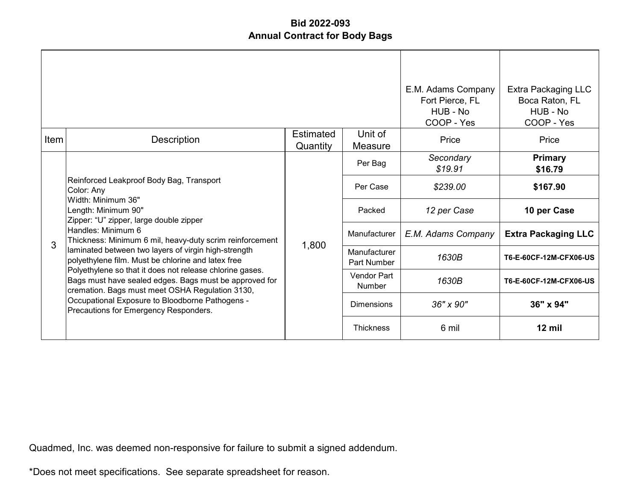|      |                                                                                                                                                                                                                                                                   |                              |                                    | E.M. Adams Company<br>Fort Pierce, FL<br>HUB - No<br>COOP - Yes | Extra Packaging LLC<br>Boca Raton, FL<br>HUB - No<br>COOP - Yes |
|------|-------------------------------------------------------------------------------------------------------------------------------------------------------------------------------------------------------------------------------------------------------------------|------------------------------|------------------------------------|-----------------------------------------------------------------|-----------------------------------------------------------------|
| Item | Description                                                                                                                                                                                                                                                       | <b>Estimated</b><br>Quantity | Unit of<br>Measure                 | Price                                                           | Price                                                           |
|      | Reinforced Leakproof Body Bag, Transport<br>Color: Any<br>Width: Minimum 36"<br>Length: Minimum 90"<br>Zipper: "U" zipper, large double zipper<br>Handles: Minimum 6<br>Thickness: Minimum 6 mil, heavy-duty scrim reinforcement                                  |                              | Per Bag                            | Secondary<br>\$19.91                                            | <b>Primary</b><br>\$16.79                                       |
|      |                                                                                                                                                                                                                                                                   | 1,800                        | Per Case                           | \$239.00                                                        | \$167.90                                                        |
|      |                                                                                                                                                                                                                                                                   |                              | Packed                             | 12 per Case                                                     | 10 per Case                                                     |
| 3    |                                                                                                                                                                                                                                                                   |                              | Manufacturer                       | E.M. Adams Company                                              | <b>Extra Packaging LLC</b>                                      |
|      | laminated between two layers of virgin high-strength<br>polyethylene film. Must be chlorine and latex free                                                                                                                                                        |                              | Manufacturer<br><b>Part Number</b> | 1630B                                                           | T6-E-60CF-12M-CFX06-US                                          |
|      | Polyethylene so that it does not release chlorine gases.<br>Bags must have sealed edges. Bags must be approved for<br>cremation. Bags must meet OSHA Regulation 3130,<br>Occupational Exposure to Bloodborne Pathogens -<br>Precautions for Emergency Responders. |                              | Vendor Part<br>Number              | 1630B                                                           | T6-E-60CF-12M-CFX06-US                                          |
|      |                                                                                                                                                                                                                                                                   |                              | Dimensions                         | 36" x 90"                                                       | 36" x 94"                                                       |
|      |                                                                                                                                                                                                                                                                   |                              | <b>Thickness</b>                   | 6 mil                                                           | $12$ mil                                                        |

Quadmed, Inc. was deemed non-responsive for failure to submit a signed addendum.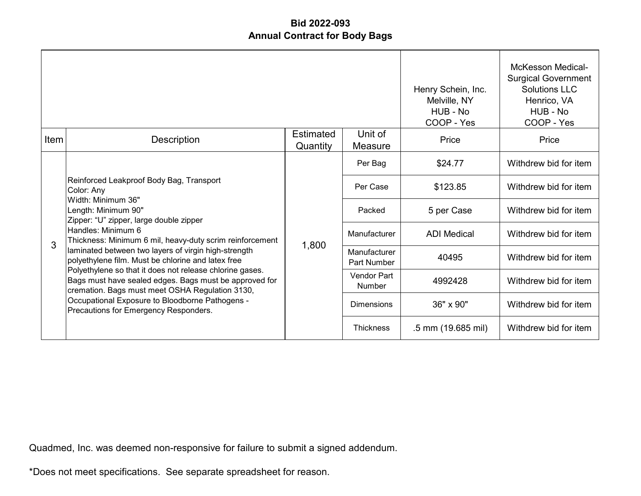|      |                                                                                                                                                                                                                                                                   |                              | Henry Schein, Inc.<br>Melville, NY<br>HUB - No<br>COOP - Yes | <b>McKesson Medical-</b><br><b>Surgical Government</b><br>Solutions LLC<br>Henrico, VA<br>HUB - No<br>COOP - Yes |                       |
|------|-------------------------------------------------------------------------------------------------------------------------------------------------------------------------------------------------------------------------------------------------------------------|------------------------------|--------------------------------------------------------------|------------------------------------------------------------------------------------------------------------------|-----------------------|
| Item | Description                                                                                                                                                                                                                                                       | <b>Estimated</b><br>Quantity | Unit of<br>Measure                                           | Price                                                                                                            | Price                 |
|      | Reinforced Leakproof Body Bag, Transport<br>Color: Any<br>Width: Minimum 36"<br>Length: Minimum 90"<br>Zipper: "U" zipper, large double zipper                                                                                                                    |                              | Per Bag                                                      | \$24.77                                                                                                          | Withdrew bid for item |
|      |                                                                                                                                                                                                                                                                   |                              | Per Case                                                     | \$123.85                                                                                                         | Withdrew bid for item |
|      |                                                                                                                                                                                                                                                                   |                              | Packed                                                       | 5 per Case                                                                                                       | Withdrew bid for item |
| 3    | Handles: Minimum 6<br>Thickness: Minimum 6 mil, heavy-duty scrim reinforcement                                                                                                                                                                                    |                              | Manufacturer                                                 | <b>ADI Medical</b>                                                                                               | Withdrew bid for item |
|      | laminated between two layers of virgin high-strength<br>polyethylene film. Must be chlorine and latex free                                                                                                                                                        | 1,800                        | Manufacturer<br>Part Number                                  | 40495                                                                                                            | Withdrew bid for item |
|      | Polyethylene so that it does not release chlorine gases.<br>Bags must have sealed edges. Bags must be approved for<br>cremation. Bags must meet OSHA Regulation 3130,<br>Occupational Exposure to Bloodborne Pathogens -<br>Precautions for Emergency Responders. |                              | Vendor Part<br>Number                                        | 4992428                                                                                                          | Withdrew bid for item |
|      |                                                                                                                                                                                                                                                                   |                              | <b>Dimensions</b>                                            | 36" x 90"                                                                                                        | Withdrew bid for item |
|      |                                                                                                                                                                                                                                                                   |                              | <b>Thickness</b>                                             | .5 mm (19.685 mil)                                                                                               | Withdrew bid for item |

Quadmed, Inc. was deemed non-responsive for failure to submit a signed addendum.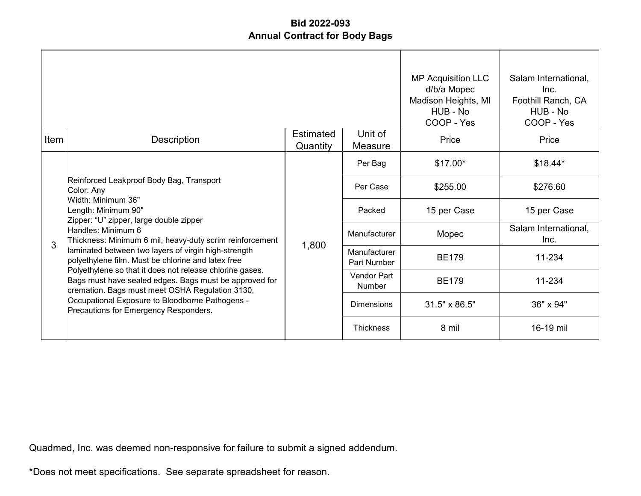|      |                                                                                                                                                                                                                                                                   |                              |                              | <b>MP Acquisition LLC</b><br>d/b/a Mopec<br>Madison Heights, MI<br>HUB - No<br>COOP - Yes | Salam International,<br>Inc.<br>Foothill Ranch, CA<br>HUB - No<br>COOP - Yes |
|------|-------------------------------------------------------------------------------------------------------------------------------------------------------------------------------------------------------------------------------------------------------------------|------------------------------|------------------------------|-------------------------------------------------------------------------------------------|------------------------------------------------------------------------------|
| Item | <b>Description</b>                                                                                                                                                                                                                                                | <b>Estimated</b><br>Quantity | Unit of<br>Measure           | Price                                                                                     | Price                                                                        |
|      | Reinforced Leakproof Body Bag, Transport<br>Color: Any<br>Width: Minimum 36"<br>Length: Minimum 90"<br>Zipper: "U" zipper, large double zipper<br>Handles: Minimum 6<br>Thickness: Minimum 6 mil, heavy-duty scrim reinforcement                                  |                              | Per Bag                      | $$17.00*$                                                                                 | $$18.44*$                                                                    |
|      |                                                                                                                                                                                                                                                                   | 1,800                        | Per Case                     | \$255.00                                                                                  | \$276.60                                                                     |
|      |                                                                                                                                                                                                                                                                   |                              | Packed                       | 15 per Case                                                                               | 15 per Case                                                                  |
| 3    |                                                                                                                                                                                                                                                                   |                              | Manufacturer                 | Mopec                                                                                     | Salam International,<br>Inc.                                                 |
|      | laminated between two layers of virgin high-strength<br>polyethylene film. Must be chlorine and latex free                                                                                                                                                        |                              | Manufacturer<br>Part Number  | <b>BE179</b>                                                                              | 11-234                                                                       |
|      | Polyethylene so that it does not release chlorine gases.<br>Bags must have sealed edges. Bags must be approved for<br>cremation. Bags must meet OSHA Regulation 3130,<br>Occupational Exposure to Bloodborne Pathogens -<br>Precautions for Emergency Responders. |                              | <b>Vendor Part</b><br>Number | <b>BE179</b>                                                                              | 11-234                                                                       |
|      |                                                                                                                                                                                                                                                                   |                              | <b>Dimensions</b>            | 31.5" x 86.5"                                                                             | 36" x 94"                                                                    |
|      |                                                                                                                                                                                                                                                                   |                              | <b>Thickness</b>             | 8 mil                                                                                     | 16-19 mil                                                                    |

Quadmed, Inc. was deemed non-responsive for failure to submit a signed addendum.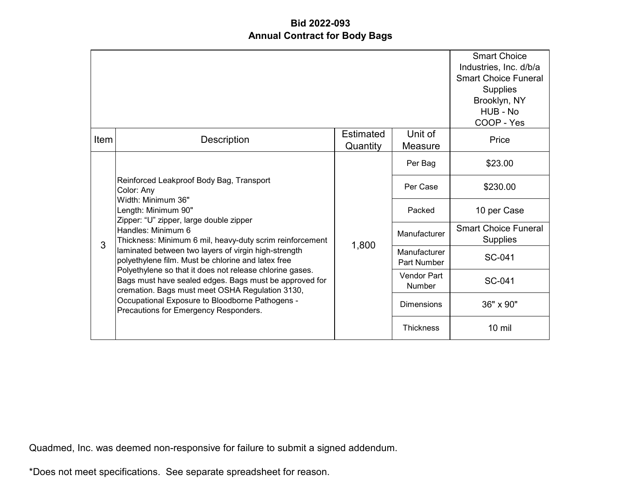|      |                                                                                                                                                                                                                                                                   |                              |                              | <b>Smart Choice</b><br>Industries, Inc. d/b/a<br><b>Smart Choice Funeral</b><br>Supplies<br>Brooklyn, NY<br>HUB - No<br>COOP - Yes |
|------|-------------------------------------------------------------------------------------------------------------------------------------------------------------------------------------------------------------------------------------------------------------------|------------------------------|------------------------------|------------------------------------------------------------------------------------------------------------------------------------|
| Item | Description                                                                                                                                                                                                                                                       | <b>Estimated</b><br>Quantity | Unit of<br>Measure           | Price                                                                                                                              |
|      | Reinforced Leakproof Body Bag, Transport<br>Color: Any<br>Width: Minimum 36"<br>Length: Minimum 90"<br>Zipper: "U" zipper, large double zipper<br>Handles: Minimum 6<br>Thickness: Minimum 6 mil, heavy-duty scrim reinforcement                                  |                              | Per Bag                      | \$23.00                                                                                                                            |
|      |                                                                                                                                                                                                                                                                   | 1,800                        | Per Case                     | \$230.00                                                                                                                           |
|      |                                                                                                                                                                                                                                                                   |                              | Packed                       | 10 per Case                                                                                                                        |
| 3    |                                                                                                                                                                                                                                                                   |                              | Manufacturer                 | <b>Smart Choice Funeral</b><br><b>Supplies</b>                                                                                     |
|      | laminated between two layers of virgin high-strength<br>polyethylene film. Must be chlorine and latex free                                                                                                                                                        |                              | Manufacturer<br>Part Number  | SC-041                                                                                                                             |
|      | Polyethylene so that it does not release chlorine gases.<br>Bags must have sealed edges. Bags must be approved for<br>cremation. Bags must meet OSHA Regulation 3130,<br>Occupational Exposure to Bloodborne Pathogens -<br>Precautions for Emergency Responders. |                              | Vendor Part<br><b>Number</b> | SC-041                                                                                                                             |
|      |                                                                                                                                                                                                                                                                   |                              | <b>Dimensions</b>            | 36" x 90"                                                                                                                          |
|      |                                                                                                                                                                                                                                                                   |                              | <b>Thickness</b>             | $10$ mil                                                                                                                           |

Quadmed, Inc. was deemed non-responsive for failure to submit a signed addendum.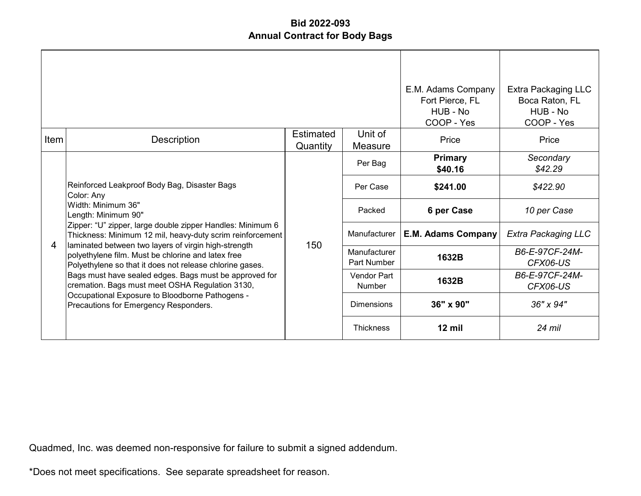|      |                                                                                                                                                                                                                                    |                       |                             | E.M. Adams Company<br>Fort Pierce, FL<br>HUB - No<br>COOP - Yes | Extra Packaging LLC<br>Boca Raton, FL<br>HUB - No<br>COOP - Yes |
|------|------------------------------------------------------------------------------------------------------------------------------------------------------------------------------------------------------------------------------------|-----------------------|-----------------------------|-----------------------------------------------------------------|-----------------------------------------------------------------|
| Item | Description                                                                                                                                                                                                                        | Estimated<br>Quantity | Unit of<br>Measure          | Price                                                           | Price                                                           |
|      | Reinforced Leakproof Body Bag, Disaster Bags<br>Color: Any<br>Width: Minimum 36"<br>Length: Minimum 90"<br>Zipper: "U" zipper, large double zipper Handles: Minimum 6<br>Thickness: Minimum 12 mil, heavy-duty scrim reinforcement | 150                   | Per Bag                     | <b>Primary</b><br>\$40.16                                       | Secondary<br>\$42.29                                            |
|      |                                                                                                                                                                                                                                    |                       | Per Case                    | \$241.00                                                        | \$422.90                                                        |
|      |                                                                                                                                                                                                                                    |                       | Packed                      | 6 per Case                                                      | 10 per Case                                                     |
| 4    |                                                                                                                                                                                                                                    |                       | Manufacturer                | E.M. Adams Company                                              | <b>Extra Packaging LLC</b>                                      |
|      | laminated between two layers of virgin high-strength<br>polyethylene film. Must be chlorine and latex free<br>Polyethylene so that it does not release chlorine gases.                                                             |                       | Manufacturer<br>Part Number | 1632B                                                           | B6-E-97CF-24M-<br>CFX06-US                                      |
|      | Bags must have sealed edges. Bags must be approved for<br>cremation. Bags must meet OSHA Regulation 3130,<br>Occupational Exposure to Bloodborne Pathogens -<br>Precautions for Emergency Responders.                              |                       | Vendor Part<br>Number       | 1632B                                                           | B6-E-97CF-24M-<br>CFX06-US                                      |
|      |                                                                                                                                                                                                                                    |                       | <b>Dimensions</b>           | 36" x 90"                                                       | 36" x 94"                                                       |
|      |                                                                                                                                                                                                                                    |                       | <b>Thickness</b>            | $12$ mil                                                        | 24 mil                                                          |

Quadmed, Inc. was deemed non-responsive for failure to submit a signed addendum.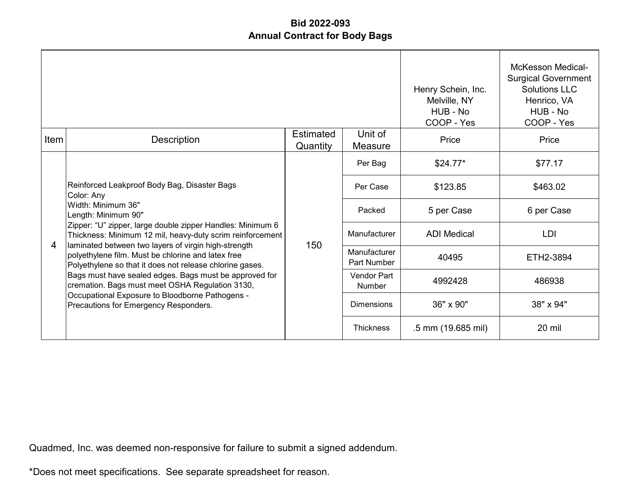|       |                                                                                                                                                                                                                                    |                              |                              | Henry Schein, Inc.<br>Melville, NY<br>HUB - No<br>COOP - Yes | <b>McKesson Medical-</b><br><b>Surgical Government</b><br><b>Solutions LLC</b><br>Henrico, VA<br>HUB - No<br>COOP - Yes |
|-------|------------------------------------------------------------------------------------------------------------------------------------------------------------------------------------------------------------------------------------|------------------------------|------------------------------|--------------------------------------------------------------|-------------------------------------------------------------------------------------------------------------------------|
| Item! | <b>Description</b>                                                                                                                                                                                                                 | <b>Estimated</b><br>Quantity | Unit of<br>Measure           | Price                                                        | Price                                                                                                                   |
|       | Reinforced Leakproof Body Bag, Disaster Bags<br>Color: Any<br>Width: Minimum 36"<br>Length: Minimum 90"<br>Zipper: "U" zipper, large double zipper Handles: Minimum 6<br>Thickness: Minimum 12 mil, heavy-duty scrim reinforcement |                              | Per Bag                      | $$24.77*$                                                    | \$77.17                                                                                                                 |
|       |                                                                                                                                                                                                                                    | 150                          | Per Case                     | \$123.85                                                     | \$463.02                                                                                                                |
|       |                                                                                                                                                                                                                                    |                              | Packed                       | 5 per Case                                                   | 6 per Case                                                                                                              |
| 4     |                                                                                                                                                                                                                                    |                              | Manufacturer                 | <b>ADI</b> Medical                                           | <b>LDI</b>                                                                                                              |
|       | laminated between two layers of virgin high-strength<br>polyethylene film. Must be chlorine and latex free<br>Polyethylene so that it does not release chlorine gases.                                                             |                              | Manufacturer<br>Part Number  | 40495                                                        | ETH2-3894                                                                                                               |
|       | Bags must have sealed edges. Bags must be approved for<br>cremation. Bags must meet OSHA Regulation 3130,<br>Occupational Exposure to Bloodborne Pathogens -<br>Precautions for Emergency Responders.                              |                              | <b>Vendor Part</b><br>Number | 4992428                                                      | 486938                                                                                                                  |
|       |                                                                                                                                                                                                                                    |                              | <b>Dimensions</b>            | 36" x 90"                                                    | 38" x 94"                                                                                                               |
|       |                                                                                                                                                                                                                                    |                              | <b>Thickness</b>             | .5 mm (19.685 mil)                                           | 20 mil                                                                                                                  |

Quadmed, Inc. was deemed non-responsive for failure to submit a signed addendum.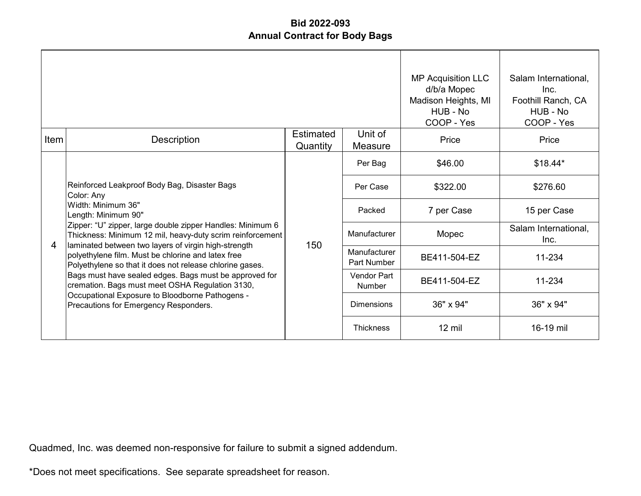|      |                                                                                                                                                                                                       |                       |                             | <b>MP Acquisition LLC</b><br>d/b/a Mopec<br>Madison Heights, MI<br>HUB - No<br>COOP - Yes | Salam International,<br>Inc.<br>Foothill Ranch, CA<br>HUB - No<br>COOP - Yes |
|------|-------------------------------------------------------------------------------------------------------------------------------------------------------------------------------------------------------|-----------------------|-----------------------------|-------------------------------------------------------------------------------------------|------------------------------------------------------------------------------|
| Item | Description                                                                                                                                                                                           | Estimated<br>Quantity | Unit of<br>Measure          | Price                                                                                     | Price                                                                        |
|      | Reinforced Leakproof Body Bag, Disaster Bags<br>Color: Any<br>Width: Minimum 36"<br>Length: Minimum 90"                                                                                               | 150                   | Per Bag                     | \$46.00                                                                                   | $$18.44*$                                                                    |
|      |                                                                                                                                                                                                       |                       | Per Case                    | \$322.00                                                                                  | \$276.60                                                                     |
|      |                                                                                                                                                                                                       |                       | Packed                      | 7 per Case                                                                                | 15 per Case                                                                  |
| 4    | Zipper: "U" zipper, large double zipper Handles: Minimum 6<br>Thickness: Minimum 12 mil, heavy-duty scrim reinforcement<br>laminated between two layers of virgin high-strength                       |                       | Manufacturer                | Mopec                                                                                     | Salam International,<br>Inc.                                                 |
|      | polyethylene film. Must be chlorine and latex free<br>Polyethylene so that it does not release chlorine gases.                                                                                        |                       | Manufacturer<br>Part Number | BE411-504-EZ                                                                              | 11-234                                                                       |
|      | Bags must have sealed edges. Bags must be approved for<br>cremation. Bags must meet OSHA Regulation 3130,<br>Occupational Exposure to Bloodborne Pathogens -<br>Precautions for Emergency Responders. |                       | Vendor Part<br>Number       | BE411-504-EZ                                                                              | 11-234                                                                       |
|      |                                                                                                                                                                                                       |                       | <b>Dimensions</b>           | 36" x 94"                                                                                 | 36" x 94"                                                                    |
|      |                                                                                                                                                                                                       |                       | <b>Thickness</b>            | $12 \text{ mil}$                                                                          | 16-19 mil                                                                    |

Quadmed, Inc. was deemed non-responsive for failure to submit a signed addendum.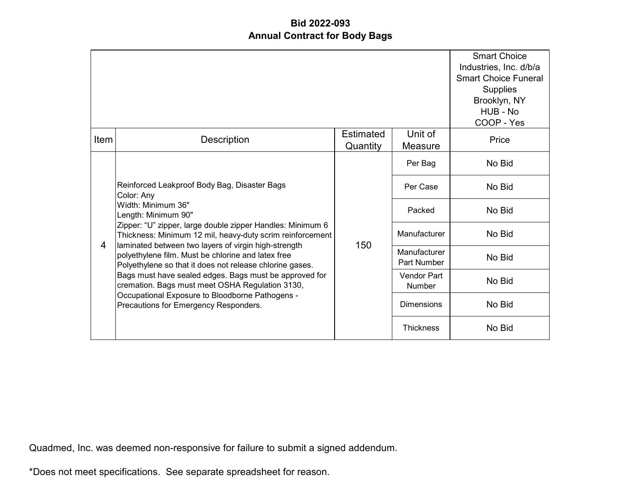|                |                                                                                                                                                                                                                                                                                            |                              |                              | <b>Smart Choice</b><br>Industries, Inc. d/b/a<br><b>Smart Choice Funeral</b><br><b>Supplies</b><br>Brooklyn, NY<br>HUB - No<br>COOP - Yes |
|----------------|--------------------------------------------------------------------------------------------------------------------------------------------------------------------------------------------------------------------------------------------------------------------------------------------|------------------------------|------------------------------|-------------------------------------------------------------------------------------------------------------------------------------------|
| Item           | <b>Description</b>                                                                                                                                                                                                                                                                         | <b>Estimated</b><br>Quantity | Unit of<br>Measure           | Price                                                                                                                                     |
|                |                                                                                                                                                                                                                                                                                            |                              | Per Bag                      | No Bid                                                                                                                                    |
|                | Reinforced Leakproof Body Bag, Disaster Bags<br>Color: Any<br>Width: Minimum 36"<br>Length: Minimum 90"<br>Zipper: "U" zipper, large double zipper Handles: Minimum 6<br>Thickness: Minimum 12 mil, heavy-duty scrim reinforcement<br>laminated between two layers of virgin high-strength | 150                          | Per Case                     | No Bid                                                                                                                                    |
|                |                                                                                                                                                                                                                                                                                            |                              | Packed                       | No Bid                                                                                                                                    |
| $\overline{4}$ |                                                                                                                                                                                                                                                                                            |                              | Manufacturer                 | No Bid                                                                                                                                    |
|                | polyethylene film. Must be chlorine and latex free<br>Polyethylene so that it does not release chlorine gases.                                                                                                                                                                             |                              | Manufacturer<br>Part Number  | No Bid                                                                                                                                    |
|                | Bags must have sealed edges. Bags must be approved for<br>cremation. Bags must meet OSHA Regulation 3130,<br>Occupational Exposure to Bloodborne Pathogens -<br>Precautions for Emergency Responders.                                                                                      |                              | Vendor Part<br><b>Number</b> | No Bid                                                                                                                                    |
|                |                                                                                                                                                                                                                                                                                            |                              | <b>Dimensions</b>            | No Bid                                                                                                                                    |
|                |                                                                                                                                                                                                                                                                                            |                              | <b>Thickness</b>             | No Bid                                                                                                                                    |

Quadmed, Inc. was deemed non-responsive for failure to submit a signed addendum.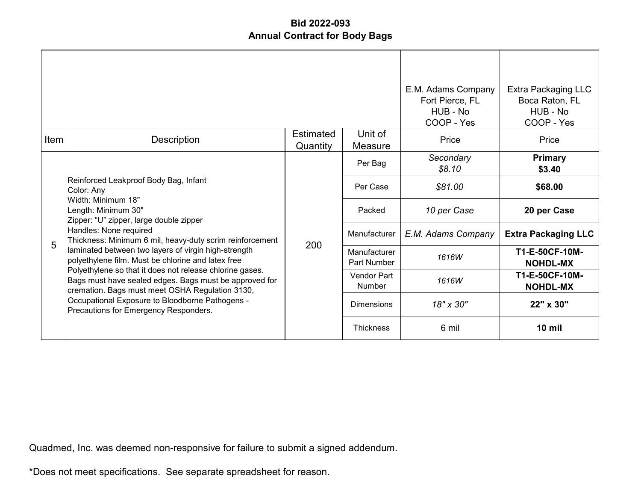|      |                                                                                                                                                                                                                                                                   |                              |                             | E.M. Adams Company<br>Fort Pierce, FL<br>HUB - No<br>COOP - Yes | Extra Packaging LLC<br>Boca Raton, FL<br>HUB - No<br>COOP - Yes |
|------|-------------------------------------------------------------------------------------------------------------------------------------------------------------------------------------------------------------------------------------------------------------------|------------------------------|-----------------------------|-----------------------------------------------------------------|-----------------------------------------------------------------|
| Item | Description                                                                                                                                                                                                                                                       | <b>Estimated</b><br>Quantity | Unit of<br>Measure          | Price                                                           | Price                                                           |
|      | Reinforced Leakproof Body Bag, Infant<br>Color: Any<br>Width: Minimum 18"<br>Length: Minimum 30"<br>Zipper: "U" zipper, large double zipper                                                                                                                       | 200                          | Per Bag                     | Secondary<br>\$8.10                                             | <b>Primary</b><br>\$3.40                                        |
|      |                                                                                                                                                                                                                                                                   |                              | Per Case                    | \$81.00                                                         | \$68.00                                                         |
|      |                                                                                                                                                                                                                                                                   |                              | Packed                      | 10 per Case                                                     | 20 per Case                                                     |
| 5    | Handles: None required<br>Thickness: Minimum 6 mil, heavy-duty scrim reinforcement                                                                                                                                                                                |                              | Manufacturer                | E.M. Adams Company                                              | <b>Extra Packaging LLC</b>                                      |
|      | laminated between two layers of virgin high-strength<br>polyethylene film. Must be chlorine and latex free                                                                                                                                                        |                              | Manufacturer<br>Part Number | 1616W                                                           | T1-E-50CF-10M-<br><b>NOHDL-MX</b>                               |
|      | Polyethylene so that it does not release chlorine gases.<br>Bags must have sealed edges. Bags must be approved for<br>cremation. Bags must meet OSHA Regulation 3130,<br>Occupational Exposure to Bloodborne Pathogens -<br>Precautions for Emergency Responders. |                              | Vendor Part<br>Number       | 1616W                                                           | T1-E-50CF-10M-<br><b>NOHDL-MX</b>                               |
|      |                                                                                                                                                                                                                                                                   |                              | <b>Dimensions</b>           | 18" x 30"                                                       | 22" x 30"                                                       |
|      |                                                                                                                                                                                                                                                                   |                              | <b>Thickness</b>            | 6 mil                                                           | $10$ mil                                                        |

Quadmed, Inc. was deemed non-responsive for failure to submit a signed addendum.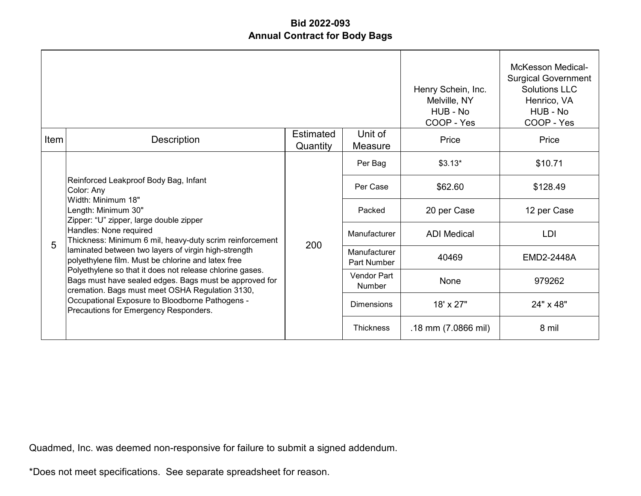|      |                                                                                                                                                                                                                                                                   |                              |                             | Henry Schein, Inc.<br>Melville, NY<br>HUB - No<br>COOP - Yes | <b>McKesson Medical-</b><br><b>Surgical Government</b><br><b>Solutions LLC</b><br>Henrico, VA<br>HUB - No<br>COOP - Yes |
|------|-------------------------------------------------------------------------------------------------------------------------------------------------------------------------------------------------------------------------------------------------------------------|------------------------------|-----------------------------|--------------------------------------------------------------|-------------------------------------------------------------------------------------------------------------------------|
| Item | <b>Description</b>                                                                                                                                                                                                                                                | <b>Estimated</b><br>Quantity | Unit of<br>Measure          | Price                                                        | Price                                                                                                                   |
|      | Reinforced Leakproof Body Bag, Infant<br>Color: Any<br>Width: Minimum 18"<br>Length: Minimum 30"<br>Zipper: "U" zipper, large double zipper<br>Handles: None required<br>Thickness: Minimum 6 mil, heavy-duty scrim reinforcement                                 |                              | Per Bag                     | $$3.13*$                                                     | \$10.71                                                                                                                 |
|      |                                                                                                                                                                                                                                                                   | 200                          | Per Case                    | \$62.60                                                      | \$128.49                                                                                                                |
|      |                                                                                                                                                                                                                                                                   |                              | Packed                      | 20 per Case                                                  | 12 per Case                                                                                                             |
| 5    |                                                                                                                                                                                                                                                                   |                              | Manufacturer                | <b>ADI</b> Medical                                           | LDI                                                                                                                     |
|      | laminated between two layers of virgin high-strength<br>polyethylene film. Must be chlorine and latex free                                                                                                                                                        |                              | Manufacturer<br>Part Number | 40469                                                        | <b>EMD2-2448A</b>                                                                                                       |
|      | Polyethylene so that it does not release chlorine gases.<br>Bags must have sealed edges. Bags must be approved for<br>cremation. Bags must meet OSHA Regulation 3130,<br>Occupational Exposure to Bloodborne Pathogens -<br>Precautions for Emergency Responders. |                              | Vendor Part<br>Number       | None                                                         | 979262                                                                                                                  |
|      |                                                                                                                                                                                                                                                                   |                              | <b>Dimensions</b>           | 18' x 27"                                                    | 24" x 48"                                                                                                               |
|      |                                                                                                                                                                                                                                                                   |                              | <b>Thickness</b>            | .18 mm (7.0866 mil)                                          | 8 mil                                                                                                                   |

Quadmed, Inc. was deemed non-responsive for failure to submit a signed addendum.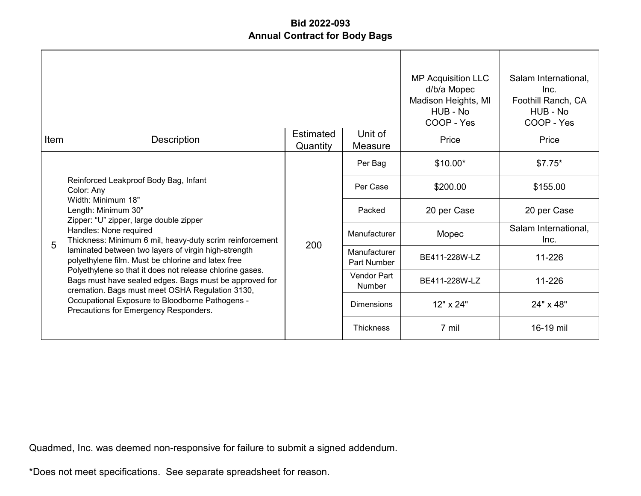|      |                                                                                                                                                                                                                                                                   |                              | <b>MP Acquisition LLC</b><br>d/b/a Mopec<br>Madison Heights, MI<br>HUB - No<br>COOP - Yes | Salam International,<br>Inc.<br>Foothill Ranch, CA<br>HUB - No<br>COOP - Yes |                              |
|------|-------------------------------------------------------------------------------------------------------------------------------------------------------------------------------------------------------------------------------------------------------------------|------------------------------|-------------------------------------------------------------------------------------------|------------------------------------------------------------------------------|------------------------------|
| Item | Description                                                                                                                                                                                                                                                       | <b>Estimated</b><br>Quantity | Unit of<br>Measure                                                                        | Price                                                                        | Price                        |
|      | Reinforced Leakproof Body Bag, Infant<br>Color: Any<br>Width: Minimum 18"<br>Length: Minimum 30"<br>Zipper: "U" zipper, large double zipper                                                                                                                       | 200                          | Per Bag                                                                                   | $$10.00*$                                                                    | $$7.75*$                     |
|      |                                                                                                                                                                                                                                                                   |                              | Per Case                                                                                  | \$200.00                                                                     | \$155.00                     |
|      |                                                                                                                                                                                                                                                                   |                              | Packed                                                                                    | 20 per Case                                                                  | 20 per Case                  |
| 5    | Handles: None required<br>Thickness: Minimum 6 mil, heavy-duty scrim reinforcement                                                                                                                                                                                |                              | Manufacturer                                                                              | Mopec                                                                        | Salam International,<br>Inc. |
|      | laminated between two layers of virgin high-strength<br>polyethylene film. Must be chlorine and latex free                                                                                                                                                        |                              | Manufacturer<br>Part Number                                                               | BE411-228W-LZ                                                                | 11-226                       |
|      | Polyethylene so that it does not release chlorine gases.<br>Bags must have sealed edges. Bags must be approved for<br>cremation. Bags must meet OSHA Regulation 3130,<br>Occupational Exposure to Bloodborne Pathogens -<br>Precautions for Emergency Responders. |                              | Vendor Part<br>Number                                                                     | BE411-228W-LZ                                                                | 11-226                       |
|      |                                                                                                                                                                                                                                                                   |                              | <b>Dimensions</b>                                                                         | 12" x 24"                                                                    | 24" x 48"                    |
|      |                                                                                                                                                                                                                                                                   |                              | <b>Thickness</b>                                                                          | 7 mil                                                                        | 16-19 mil                    |

Quadmed, Inc. was deemed non-responsive for failure to submit a signed addendum.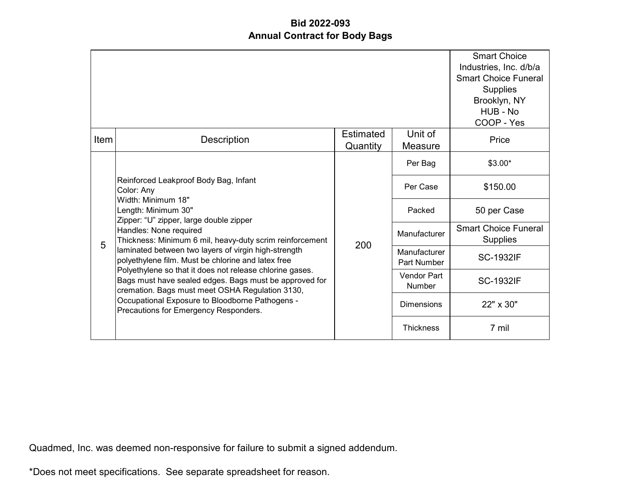|      |                                                                                                                                                                                                                                   |                              |                              | <b>Smart Choice</b><br>Industries, Inc. d/b/a<br><b>Smart Choice Funeral</b><br>Supplies<br>Brooklyn, NY<br>HUB - No<br>COOP - Yes |
|------|-----------------------------------------------------------------------------------------------------------------------------------------------------------------------------------------------------------------------------------|------------------------------|------------------------------|------------------------------------------------------------------------------------------------------------------------------------|
| Item | Description                                                                                                                                                                                                                       | <b>Estimated</b><br>Quantity | Unit of<br>Measure           | Price                                                                                                                              |
|      |                                                                                                                                                                                                                                   |                              | Per Bag                      | $$3.00*$                                                                                                                           |
|      | Reinforced Leakproof Body Bag, Infant<br>Color: Any<br>Width: Minimum 18"<br>Length: Minimum 30"<br>Zipper: "U" zipper, large double zipper<br>Handles: None required<br>Thickness: Minimum 6 mil, heavy-duty scrim reinforcement | 200                          | Per Case                     | \$150.00                                                                                                                           |
|      |                                                                                                                                                                                                                                   |                              | Packed                       | 50 per Case                                                                                                                        |
| 5    |                                                                                                                                                                                                                                   |                              | Manufacturer                 | <b>Smart Choice Funeral</b><br><b>Supplies</b>                                                                                     |
|      | laminated between two layers of virgin high-strength<br>polyethylene film. Must be chlorine and latex free                                                                                                                        |                              | Manufacturer<br>Part Number  | <b>SC-1932IF</b>                                                                                                                   |
|      | Polyethylene so that it does not release chlorine gases.<br>Bags must have sealed edges. Bags must be approved for<br>cremation. Bags must meet OSHA Regulation 3130,                                                             |                              | Vendor Part<br><b>Number</b> | <b>SC-1932IF</b>                                                                                                                   |
|      | Occupational Exposure to Bloodborne Pathogens -<br>Precautions for Emergency Responders.                                                                                                                                          |                              | <b>Dimensions</b>            | 22" x 30"                                                                                                                          |
|      |                                                                                                                                                                                                                                   |                              | <b>Thickness</b>             | 7 mil                                                                                                                              |

Quadmed, Inc. was deemed non-responsive for failure to submit a signed addendum.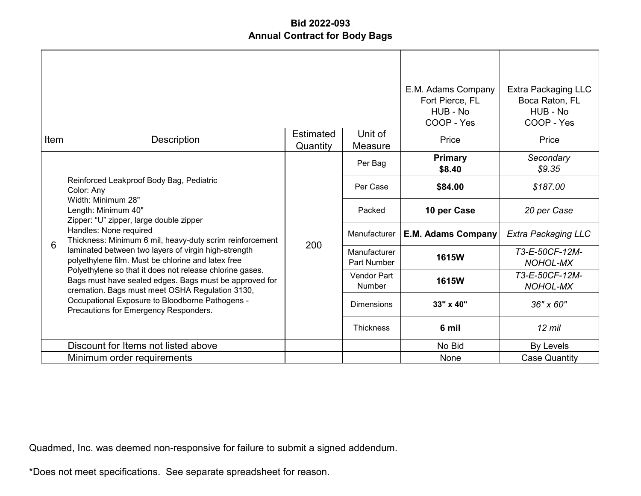|      |                                                                                                                                                                                                                                      |                              | E.M. Adams Company<br>Fort Pierce, FL<br>HUB - No<br>COOP - Yes | <b>Extra Packaging LLC</b><br>Boca Raton, FL<br>HUB - No<br>COOP - Yes |                                   |
|------|--------------------------------------------------------------------------------------------------------------------------------------------------------------------------------------------------------------------------------------|------------------------------|-----------------------------------------------------------------|------------------------------------------------------------------------|-----------------------------------|
| Item | Description                                                                                                                                                                                                                          | <b>Estimated</b><br>Quantity | Unit of<br>Measure                                              | Price                                                                  | Price                             |
|      |                                                                                                                                                                                                                                      |                              | Per Bag                                                         | Primary<br>\$8.40                                                      | Secondary<br>\$9.35               |
|      | Reinforced Leakproof Body Bag, Pediatric<br>Color: Any<br>Width: Minimum 28"<br>Length: Minimum 40"<br>Zipper: "U" zipper, large double zipper<br>Handles: None required<br>Thickness: Minimum 6 mil, heavy-duty scrim reinforcement | 200                          | Per Case                                                        | \$84.00                                                                | \$187.00                          |
|      |                                                                                                                                                                                                                                      |                              | Packed                                                          | 10 per Case                                                            | 20 per Case                       |
| 6    |                                                                                                                                                                                                                                      |                              | Manufacturer                                                    | <b>E.M. Adams Company</b>                                              | <b>Extra Packaging LLC</b>        |
|      | laminated between two layers of virgin high-strength<br>polyethylene film. Must be chlorine and latex free                                                                                                                           |                              | Manufacturer<br><b>Part Number</b>                              | 1615W                                                                  | T3-E-50CF-12M-<br><b>NOHOL-MX</b> |
|      | Polyethylene so that it does not release chlorine gases.<br>Bags must have sealed edges. Bags must be approved for<br>cremation. Bags must meet OSHA Regulation 3130,                                                                |                              | <b>Vendor Part</b><br><b>Number</b>                             | 1615W                                                                  | T3-E-50CF-12M-<br><b>NOHOL-MX</b> |
|      | Occupational Exposure to Bloodborne Pathogens -<br>Precautions for Emergency Responders.                                                                                                                                             |                              | <b>Dimensions</b>                                               | 33" x 40"                                                              | 36" x 60"                         |
|      |                                                                                                                                                                                                                                      |                              | <b>Thickness</b>                                                | 6 mil                                                                  | $12$ mil                          |
|      | Discount for Items not listed above                                                                                                                                                                                                  |                              |                                                                 | No Bid                                                                 | By Levels                         |
|      | Minimum order requirements                                                                                                                                                                                                           |                              |                                                                 | None                                                                   | <b>Case Quantity</b>              |

Quadmed, Inc. was deemed non-responsive for failure to submit a signed addendum.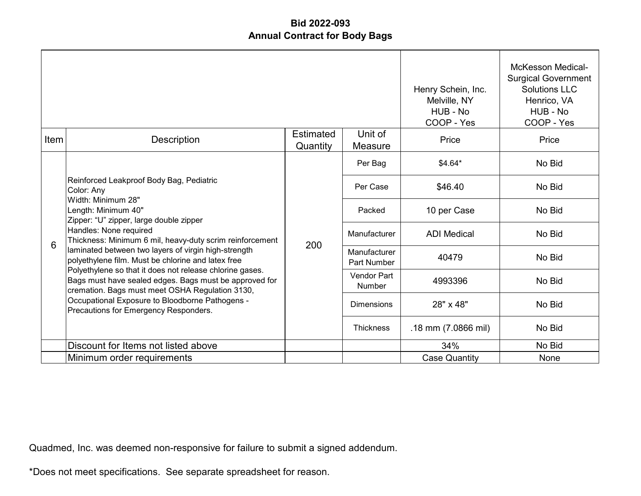|      |                                                                                                                                                                                                                                      |                       |                              | Henry Schein, Inc.<br>Melville, NY<br>HUB - No<br>COOP - Yes | <b>McKesson Medical-</b><br><b>Surgical Government</b><br><b>Solutions LLC</b><br>Henrico, VA<br>HUB - No<br>COOP - Yes |
|------|--------------------------------------------------------------------------------------------------------------------------------------------------------------------------------------------------------------------------------------|-----------------------|------------------------------|--------------------------------------------------------------|-------------------------------------------------------------------------------------------------------------------------|
| Item | Description                                                                                                                                                                                                                          | Estimated<br>Quantity | Unit of<br>Measure           | Price                                                        | Price                                                                                                                   |
|      |                                                                                                                                                                                                                                      |                       | Per Bag                      | \$4.64*                                                      | No Bid                                                                                                                  |
|      | Reinforced Leakproof Body Bag, Pediatric<br>Color: Any<br>Width: Minimum 28"<br>Length: Minimum 40"<br>Zipper: "U" zipper, large double zipper<br>Handles: None required<br>Thickness: Minimum 6 mil, heavy-duty scrim reinforcement | 200                   | Per Case                     | \$46.40                                                      | No Bid                                                                                                                  |
|      |                                                                                                                                                                                                                                      |                       | Packed                       | 10 per Case                                                  | No Bid                                                                                                                  |
| 6    |                                                                                                                                                                                                                                      |                       | Manufacturer                 | <b>ADI</b> Medical                                           | No Bid                                                                                                                  |
|      | laminated between two layers of virgin high-strength<br>polyethylene film. Must be chlorine and latex free                                                                                                                           |                       | Manufacturer<br>Part Number  | 40479                                                        | No Bid                                                                                                                  |
|      | Polyethylene so that it does not release chlorine gases.<br>Bags must have sealed edges. Bags must be approved for<br>cremation. Bags must meet OSHA Regulation 3130,                                                                |                       | <b>Vendor Part</b><br>Number | 4993396                                                      | No Bid                                                                                                                  |
|      | Occupational Exposure to Bloodborne Pathogens -<br>Precautions for Emergency Responders.                                                                                                                                             |                       | <b>Dimensions</b>            | 28" x 48"                                                    | No Bid                                                                                                                  |
|      |                                                                                                                                                                                                                                      |                       | <b>Thickness</b>             | .18 mm (7.0866 mil)                                          | No Bid                                                                                                                  |
|      | Discount for Items not listed above                                                                                                                                                                                                  |                       |                              | 34%                                                          | No Bid                                                                                                                  |
|      | Minimum order requirements                                                                                                                                                                                                           |                       |                              | <b>Case Quantity</b>                                         | <b>None</b>                                                                                                             |

Quadmed, Inc. was deemed non-responsive for failure to submit a signed addendum.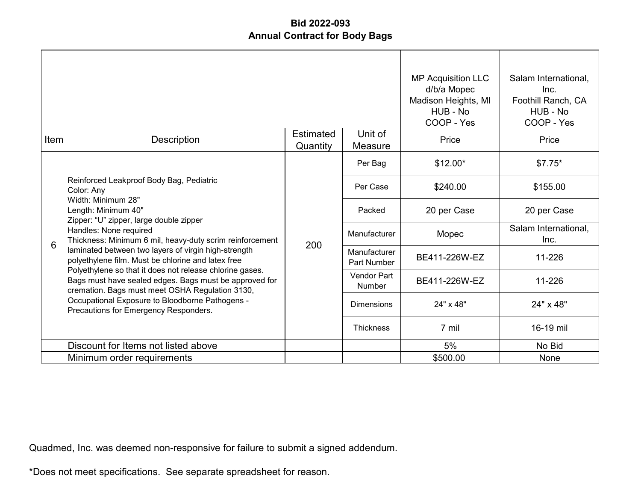|      |                                                                                                                                                                                                                                      |                       |                                     | <b>MP Acquisition LLC</b><br>d/b/a Mopec<br>Madison Heights, MI<br>HUB - No<br>COOP - Yes | Salam International,<br>Inc.<br>Foothill Ranch, CA<br>HUB - No<br>COOP - Yes |
|------|--------------------------------------------------------------------------------------------------------------------------------------------------------------------------------------------------------------------------------------|-----------------------|-------------------------------------|-------------------------------------------------------------------------------------------|------------------------------------------------------------------------------|
| Item | Description                                                                                                                                                                                                                          | Estimated<br>Quantity | Unit of<br>Measure                  | Price                                                                                     | Price                                                                        |
|      |                                                                                                                                                                                                                                      |                       | Per Bag                             | $$12.00*$                                                                                 | $$7.75*$                                                                     |
|      | Reinforced Leakproof Body Bag, Pediatric<br>Color: Any<br>Width: Minimum 28"<br>Length: Minimum 40"<br>Zipper: "U" zipper, large double zipper<br>Handles: None required<br>Thickness: Minimum 6 mil, heavy-duty scrim reinforcement | 200                   | Per Case                            | \$240.00                                                                                  | \$155.00                                                                     |
|      |                                                                                                                                                                                                                                      |                       | Packed                              | 20 per Case                                                                               | 20 per Case                                                                  |
| 6    |                                                                                                                                                                                                                                      |                       | Manufacturer                        | Mopec                                                                                     | Salam International,<br>Inc.                                                 |
|      | laminated between two layers of virgin high-strength<br>polyethylene film. Must be chlorine and latex free                                                                                                                           |                       | Manufacturer<br>Part Number         | BE411-226W-EZ                                                                             | 11-226                                                                       |
|      | Polyethylene so that it does not release chlorine gases.<br>Bags must have sealed edges. Bags must be approved for<br>cremation. Bags must meet OSHA Regulation 3130,                                                                |                       | <b>Vendor Part</b><br><b>Number</b> | BE411-226W-EZ                                                                             | 11-226                                                                       |
|      | Occupational Exposure to Bloodborne Pathogens -<br>Precautions for Emergency Responders.                                                                                                                                             |                       | <b>Dimensions</b>                   | 24" x 48"                                                                                 | 24" x 48"                                                                    |
|      |                                                                                                                                                                                                                                      |                       | <b>Thickness</b>                    | 7 mil                                                                                     | 16-19 mil                                                                    |
|      | Discount for Items not listed above                                                                                                                                                                                                  |                       |                                     | 5%                                                                                        | No Bid                                                                       |
|      | Minimum order requirements                                                                                                                                                                                                           |                       |                                     | \$500.00                                                                                  | <b>None</b>                                                                  |

Quadmed, Inc. was deemed non-responsive for failure to submit a signed addendum.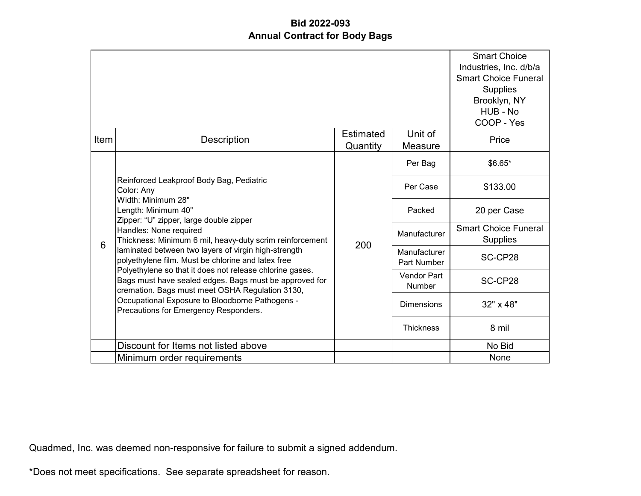|      |                                                                                                                                                                                                                                                                                                                                                                                                                                                                                                                             |                              |                             | <b>Smart Choice</b><br>Industries, Inc. d/b/a<br><b>Smart Choice Funeral</b><br><b>Supplies</b><br>Brooklyn, NY<br>HUB - No<br>COOP - Yes |
|------|-----------------------------------------------------------------------------------------------------------------------------------------------------------------------------------------------------------------------------------------------------------------------------------------------------------------------------------------------------------------------------------------------------------------------------------------------------------------------------------------------------------------------------|------------------------------|-----------------------------|-------------------------------------------------------------------------------------------------------------------------------------------|
| Item | <b>Description</b>                                                                                                                                                                                                                                                                                                                                                                                                                                                                                                          | <b>Estimated</b><br>Quantity | Unit of<br>Measure          | Price                                                                                                                                     |
|      | Reinforced Leakproof Body Bag, Pediatric<br>Color: Any<br>Width: Minimum 28"<br>Length: Minimum 40"<br>Zipper: "U" zipper, large double zipper<br>Handles: None required<br>Thickness: Minimum 6 mil, heavy-duty scrim reinforcement<br>laminated between two layers of virgin high-strength<br>polyethylene film. Must be chlorine and latex free<br>Polyethylene so that it does not release chlorine gases.<br>Bags must have sealed edges. Bags must be approved for<br>cremation. Bags must meet OSHA Regulation 3130, |                              | Per Bag                     | \$6.65*                                                                                                                                   |
|      |                                                                                                                                                                                                                                                                                                                                                                                                                                                                                                                             | 200                          | Per Case                    | \$133.00                                                                                                                                  |
|      |                                                                                                                                                                                                                                                                                                                                                                                                                                                                                                                             |                              | Packed                      | 20 per Case                                                                                                                               |
| 6    |                                                                                                                                                                                                                                                                                                                                                                                                                                                                                                                             |                              | Manufacturer                | <b>Smart Choice Funeral</b><br><b>Supplies</b>                                                                                            |
|      |                                                                                                                                                                                                                                                                                                                                                                                                                                                                                                                             |                              | Manufacturer<br>Part Number | SC-CP28                                                                                                                                   |
|      |                                                                                                                                                                                                                                                                                                                                                                                                                                                                                                                             |                              | Vendor Part<br>Number       | SC-CP28                                                                                                                                   |
|      | Occupational Exposure to Bloodborne Pathogens -<br>Precautions for Emergency Responders.                                                                                                                                                                                                                                                                                                                                                                                                                                    |                              | <b>Dimensions</b>           | 32" x 48"                                                                                                                                 |
|      |                                                                                                                                                                                                                                                                                                                                                                                                                                                                                                                             |                              | <b>Thickness</b>            | 8 mil                                                                                                                                     |
|      | Discount for Items not listed above                                                                                                                                                                                                                                                                                                                                                                                                                                                                                         |                              |                             | No Bid                                                                                                                                    |
|      | Minimum order requirements                                                                                                                                                                                                                                                                                                                                                                                                                                                                                                  |                              |                             | None                                                                                                                                      |

Quadmed, Inc. was deemed non-responsive for failure to submit a signed addendum.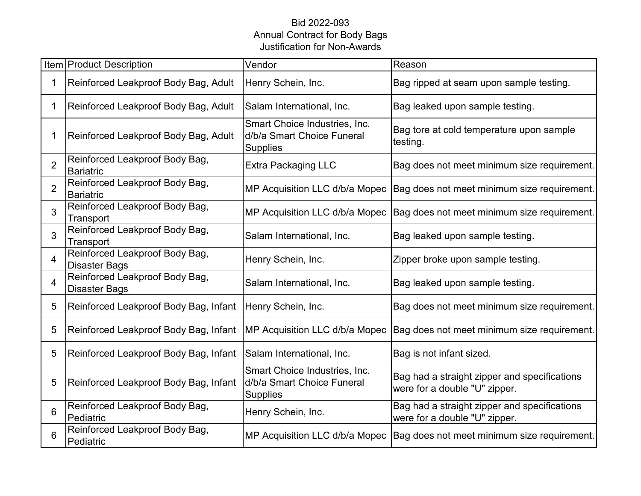#### Bid 2022-093 Annual Contract for Body Bags Justification for Non-Awards

|                | Item Product Description                               | Vendor                                                                         | Reason                                                                        |
|----------------|--------------------------------------------------------|--------------------------------------------------------------------------------|-------------------------------------------------------------------------------|
|                | Reinforced Leakproof Body Bag, Adult                   | Henry Schein, Inc.                                                             | Bag ripped at seam upon sample testing.                                       |
| 1              | Reinforced Leakproof Body Bag, Adult                   | Salam International, Inc.                                                      | Bag leaked upon sample testing.                                               |
| 1              | Reinforced Leakproof Body Bag, Adult                   | Smart Choice Industries, Inc.<br>d/b/a Smart Choice Funeral<br><b>Supplies</b> | Bag tore at cold temperature upon sample<br>testing.                          |
| $\overline{2}$ | Reinforced Leakproof Body Bag,<br><b>Bariatric</b>     | <b>Extra Packaging LLC</b>                                                     | Bag does not meet minimum size requirement.                                   |
| $\overline{2}$ | Reinforced Leakproof Body Bag,<br><b>Bariatric</b>     | MP Acquisition LLC d/b/a Mopec                                                 | Bag does not meet minimum size requirement.                                   |
| 3              | Reinforced Leakproof Body Bag,<br>Transport            | MP Acquisition LLC d/b/a Mopec                                                 | Bag does not meet minimum size requirement.                                   |
| 3              | Reinforced Leakproof Body Bag,<br>Transport            | Salam International, Inc.                                                      | Bag leaked upon sample testing.                                               |
| $\overline{4}$ | Reinforced Leakproof Body Bag,<br><b>Disaster Bags</b> | Henry Schein, Inc.                                                             | Zipper broke upon sample testing.                                             |
| $\overline{4}$ | Reinforced Leakproof Body Bag,<br><b>Disaster Bags</b> | Salam International, Inc.                                                      | Bag leaked upon sample testing.                                               |
| 5              | Reinforced Leakproof Body Bag, Infant                  | Henry Schein, Inc.                                                             | Bag does not meet minimum size requirement.                                   |
| 5              | Reinforced Leakproof Body Bag, Infant                  | MP Acquisition LLC d/b/a Mopec                                                 | Bag does not meet minimum size requirement.                                   |
| 5              | Reinforced Leakproof Body Bag, Infant                  | Salam International, Inc.                                                      | Bag is not infant sized.                                                      |
| 5              | Reinforced Leakproof Body Bag, Infant                  | Smart Choice Industries, Inc.<br>d/b/a Smart Choice Funeral<br><b>Supplies</b> | Bag had a straight zipper and specifications<br>were for a double "U" zipper. |
| 6              | Reinforced Leakproof Body Bag,<br>Pediatric            | Henry Schein, Inc.                                                             | Bag had a straight zipper and specifications<br>were for a double "U" zipper. |
| 6              | Reinforced Leakproof Body Bag,<br>Pediatric            | MP Acquisition LLC d/b/a Mopec                                                 | Bag does not meet minimum size requirement.                                   |